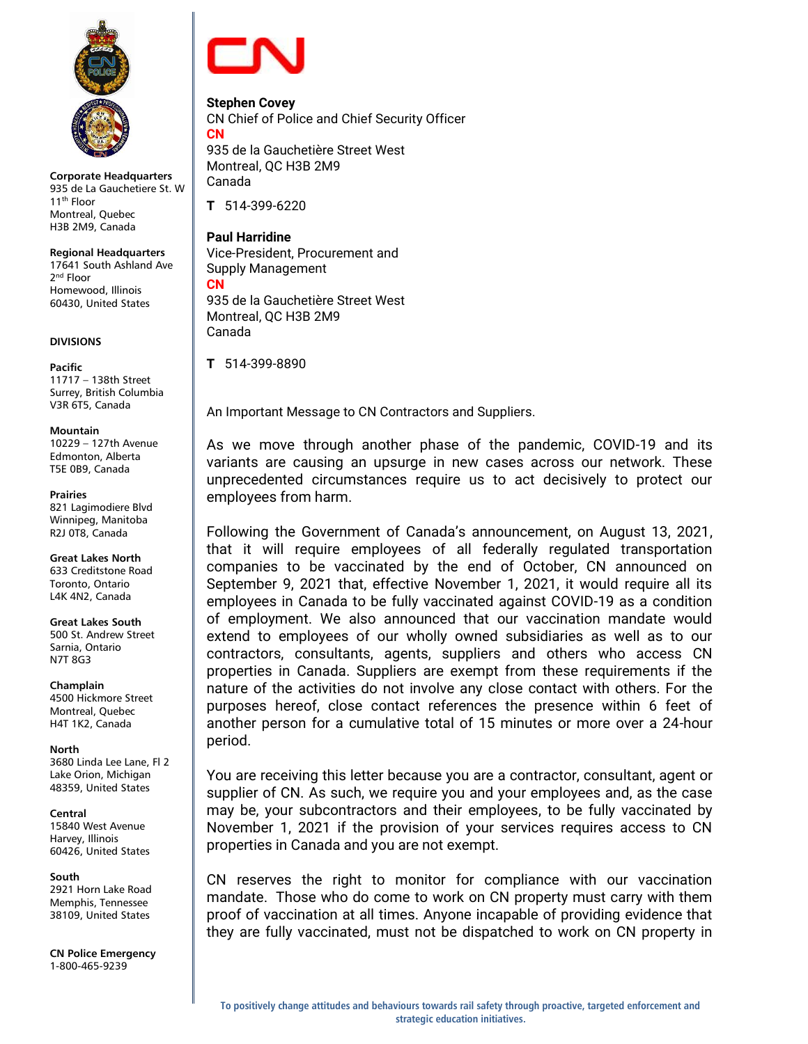

**Corporate Headquarters** 935 de La Gauchetiere St. W 11th Floor Montreal, Quebec H3B 2M9, Canada

**Regional Headquarters** 17641 South Ashland Ave 2<sup>nd</sup> Floor Homewood, Illinois 60430, United States

# **DIVISIONS**

**Pacific** 11717 – 138th Street Surrey, British Columbia V3R 6T5, Canada

### **Mountain**

10229 – 127th Avenue Edmonton, Alberta T5E 0B9, Canada

### **Prairies**

821 Lagimodiere Blvd Winnipeg, Manitoba R2J 0T8, Canada

**Great Lakes North** 633 Creditstone Road Toronto, Ontario L4K 4N2, Canada

**Great Lakes South** 500 St. Andrew Street Sarnia, Ontario N7T 8G3

**Champlain**

4500 Hickmore Street Montreal, Quebec H4T 1K2, Canada

# **North**

3680 Linda Lee Lane, Fl 2 Lake Orion, Michigan 48359, United States

**Central** 15840 West Avenue Harvey, Illinois 60426, United States

# **South**

2921 Horn Lake Road Memphis, Tennessee 38109, United States

**CN Police Emergency** 1-800-465-9239



**Stephen Covey** CN Chief of Police and Chief Security Officer **CN** 935 de la Gauchetière Street West

Montreal, QC H3B 2M9 Canada

**T** 514-399-6220

**Paul Harridine** Vice-President, Procurement and Supply Management **CN**

935 de la Gauchetière Street West Montreal, QC H3B 2M9 Canada

**T** 514-399-8890

An Important Message to CN Contractors and Suppliers.

As we move through another phase of the pandemic, COVID-19 and its variants are causing an upsurge in new cases across our network. These unprecedented circumstances require us to act decisively to protect our employees from harm.

Following the Government of Canada's announcement, on August 13, 2021, that it will require employees of all federally regulated transportation companies to be vaccinated by the end of October, CN announced on September 9, 2021 that, effective November 1, 2021, it would require all its employees in Canada to be fully vaccinated against COVID-19 as a condition of employment. We also announced that our vaccination mandate would extend to employees of our wholly owned subsidiaries as well as to our contractors, consultants, agents, suppliers and others who access CN properties in Canada. Suppliers are exempt from these requirements if the nature of the activities do not involve any close contact with others. For the purposes hereof, close contact references the presence within 6 feet of another person for a cumulative total of 15 minutes or more over a 24-hour period.

You are receiving this letter because you are a contractor, consultant, agent or supplier of CN. As such, we require you and your employees and, as the case may be, your subcontractors and their employees, to be fully vaccinated by November 1, 2021 if the provision of your services requires access to CN properties in Canada and you are not exempt.

CN reserves the right to monitor for compliance with our vaccination mandate. Those who do come to work on CN property must carry with them proof of vaccination at all times. Anyone incapable of providing evidence that they are fully vaccinated, must not be dispatched to work on CN property in